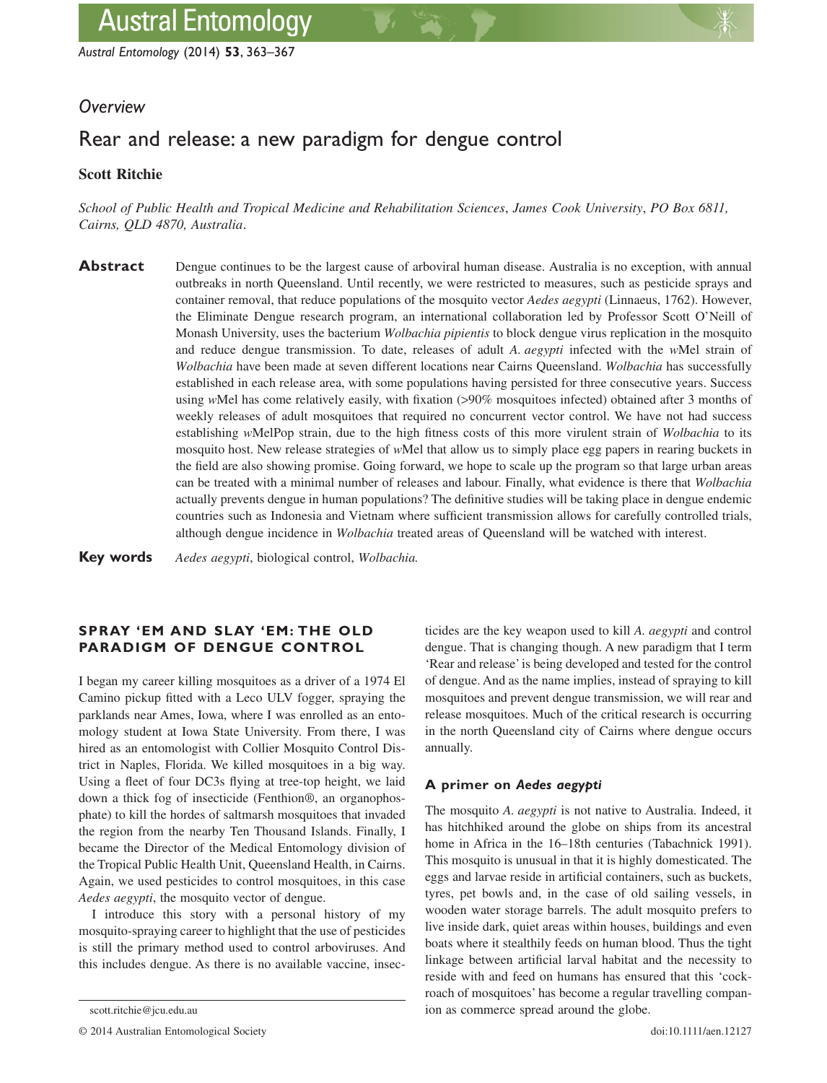*Austral Entomology* (2014) **53**, 363–367

# *Overview*

# Rear and release: a new paradigm for dengue control

# **Scott Ritchie**

*School of Public Health and Tropical Medicine and Rehabilitation Sciences*, *James Cook University*, *PO Box 6811, Cairns, QLD 4870, Australia*.

**Abstract** Dengue continues to be the largest cause of arboviral human disease. Australia is no exception, with annual outbreaks in north Queensland. Until recently, we were restricted to measures, such as pesticide sprays and container removal, that reduce populations of the mosquito vector *Aedes aegypti* (Linnaeus, 1762). However, the Eliminate Dengue research program, an international collaboration led by Professor Scott O'Neill of Monash University, uses the bacterium *Wolbachia pipientis* to block dengue virus replication in the mosquito and reduce dengue transmission. To date, releases of adult *A. aegypti* infected with the *w*Mel strain of *Wolbachia* have been made at seven different locations near Cairns Queensland. *Wolbachia* has successfully established in each release area, with some populations having persisted for three consecutive years. Success using *w*Mel has come relatively easily, with fixation (>90% mosquitoes infected) obtained after 3 months of weekly releases of adult mosquitoes that required no concurrent vector control. We have not had success establishing *w*MelPop strain, due to the high fitness costs of this more virulent strain of *Wolbachia* to its mosquito host. New release strategies of *w*Mel that allow us to simply place egg papers in rearing buckets in the field are also showing promise. Going forward, we hope to scale up the program so that large urban areas can be treated with a minimal number of releases and labour. Finally, what evidence is there that *Wolbachia* actually prevents dengue in human populations? The definitive studies will be taking place in dengue endemic countries such as Indonesia and Vietnam where sufficient transmission allows for carefully controlled trials, although dengue incidence in *Wolbachia* treated areas of Queensland will be watched with interest.

**Key words** *Aedes aegypti*, biological control, *Wolbachia.*

# **SPRAY 'EM AND SLAY 'EM: THE OLD PARADIGM OF DENGUE CONTROL**

I began my career killing mosquitoes as a driver of a 1974 El Camino pickup fitted with a Leco ULV fogger, spraying the parklands near Ames, Iowa, where I was enrolled as an entomology student at Iowa State University. From there, I was hired as an entomologist with Collier Mosquito Control District in Naples, Florida. We killed mosquitoes in a big way. Using a fleet of four DC3s flying at tree-top height, we laid down a thick fog of insecticide (Fenthion®, an organophosphate) to kill the hordes of saltmarsh mosquitoes that invaded the region from the nearby Ten Thousand Islands. Finally, I became the Director of the Medical Entomology division of the Tropical Public Health Unit, Queensland Health, in Cairns. Again, we used pesticides to control mosquitoes, in this case *Aedes aegypti*, the mosquito vector of dengue.

I introduce this story with a personal history of my mosquito-spraying career to highlight that the use of pesticides is still the primary method used to control arboviruses. And this includes dengue. As there is no available vaccine, insec-

ticides are the key weapon used to kill *A. aegypti* and control dengue. That is changing though. A new paradigm that I term 'Rear and release' is being developed and tested for the control of dengue. And as the name implies, instead of spraying to kill mosquitoes and prevent dengue transmission, we will rear and release mosquitoes. Much of the critical research is occurring in the north Queensland city of Cairns where dengue occurs annually.

#### **A primer on** *Aedes aegypti*

The mosquito *A. aegypti* is not native to Australia. Indeed, it has hitchhiked around the globe on ships from its ancestral home in Africa in the 16–18th centuries (Tabachnick 1991). This mosquito is unusual in that it is highly domesticated. The eggs and larvae reside in artificial containers, such as buckets, tyres, pet bowls and, in the case of old sailing vessels, in wooden water storage barrels. The adult mosquito prefers to live inside dark, quiet areas within houses, buildings and even boats where it stealthily feeds on human blood. Thus the tight linkage between artificial larval habitat and the necessity to reside with and feed on humans has ensured that this 'cockroach of mosquitoes' has become a regular travelling compan[scott.ritchie@jcu.edu.au](mailto:scott.ritchie@jcu.edu.au) ion as commerce spread around the globe.

<sup>© 2014</sup> Australian Entomological Society doi:10.1111/aen.12127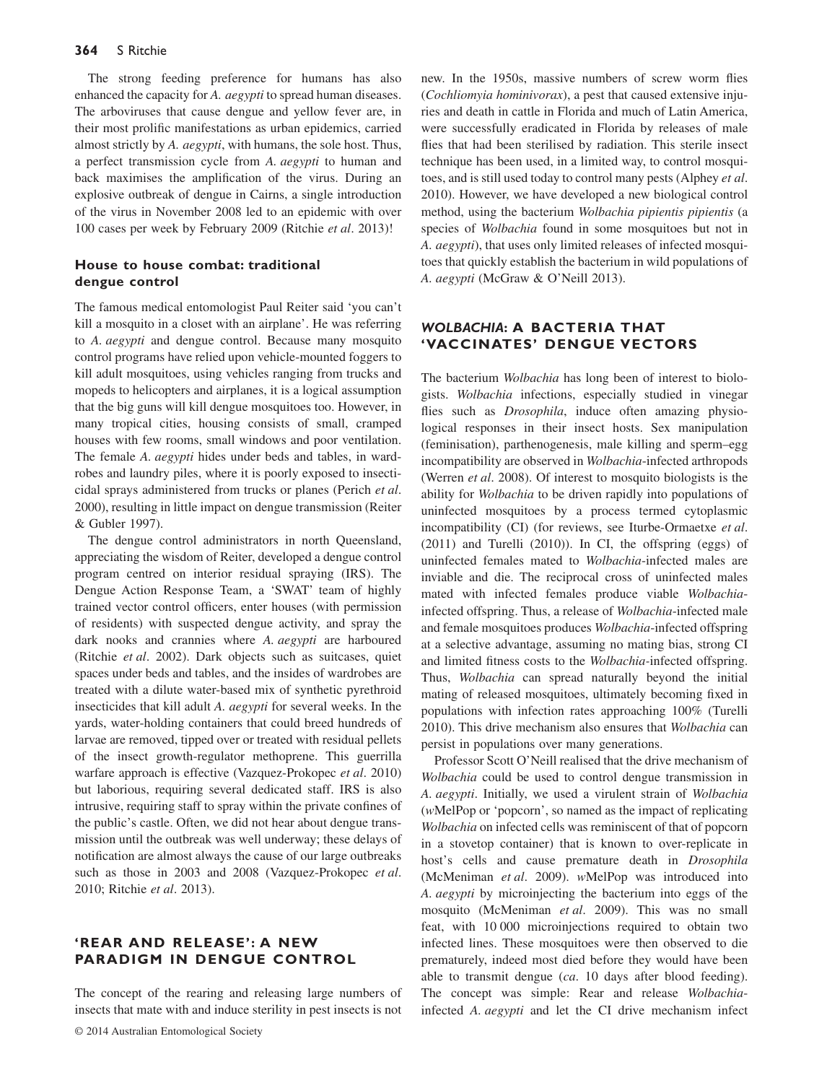#### **364** S Ritchie

The strong feeding preference for humans has also enhanced the capacity for *A. aegypti* to spread human diseases. The arboviruses that cause dengue and yellow fever are, in their most prolific manifestations as urban epidemics, carried almost strictly by *A. aegypti*, with humans, the sole host. Thus, a perfect transmission cycle from *A. aegypti* to human and back maximises the amplification of the virus. During an explosive outbreak of dengue in Cairns, a single introduction of the virus in November 2008 led to an epidemic with over 100 cases per week by February 2009 (Ritchie *et al*. 2013)!

### **House to house combat: traditional dengue control**

The famous medical entomologist Paul Reiter said 'you can't kill a mosquito in a closet with an airplane'. He was referring to *A. aegypti* and dengue control. Because many mosquito control programs have relied upon vehicle-mounted foggers to kill adult mosquitoes, using vehicles ranging from trucks and mopeds to helicopters and airplanes, it is a logical assumption that the big guns will kill dengue mosquitoes too. However, in many tropical cities, housing consists of small, cramped houses with few rooms, small windows and poor ventilation. The female *A. aegypti* hides under beds and tables, in wardrobes and laundry piles, where it is poorly exposed to insecticidal sprays administered from trucks or planes (Perich *et al*. 2000), resulting in little impact on dengue transmission (Reiter & Gubler 1997).

The dengue control administrators in north Queensland, appreciating the wisdom of Reiter, developed a dengue control program centred on interior residual spraying (IRS). The Dengue Action Response Team, a 'SWAT' team of highly trained vector control officers, enter houses (with permission of residents) with suspected dengue activity, and spray the dark nooks and crannies where *A. aegypti* are harboured (Ritchie *et al*. 2002). Dark objects such as suitcases, quiet spaces under beds and tables, and the insides of wardrobes are treated with a dilute water-based mix of synthetic pyrethroid insecticides that kill adult *A. aegypti* for several weeks. In the yards, water-holding containers that could breed hundreds of larvae are removed, tipped over or treated with residual pellets of the insect growth-regulator methoprene. This guerrilla warfare approach is effective (Vazquez-Prokopec *et al*. 2010) but laborious, requiring several dedicated staff. IRS is also intrusive, requiring staff to spray within the private confines of the public's castle. Often, we did not hear about dengue transmission until the outbreak was well underway; these delays of notification are almost always the cause of our large outbreaks such as those in 2003 and 2008 (Vazquez-Prokopec *et al*. 2010; Ritchie *et al*. 2013).

# **'REAR AND RELEASE': A NEW PARADIGM IN DENGUE CONTROL**

The concept of the rearing and releasing large numbers of insects that mate with and induce sterility in pest insects is not

new. In the 1950s, massive numbers of screw worm flies (*Cochliomyia hominivorax*), a pest that caused extensive injuries and death in cattle in Florida and much of Latin America, were successfully eradicated in Florida by releases of male flies that had been sterilised by radiation. This sterile insect technique has been used, in a limited way, to control mosquitoes, and is still used today to control many pests (Alphey *et al*. 2010). However, we have developed a new biological control method, using the bacterium *Wolbachia pipientis pipientis* (a species of *Wolbachia* found in some mosquitoes but not in *A. aegypti*), that uses only limited releases of infected mosquitoes that quickly establish the bacterium in wild populations of *A. aegypti* (McGraw & O'Neill 2013).

# *WOLBACHIA***: A BACTERIA THAT 'VACCINATES' DENGUE VECTORS**

The bacterium *Wolbachia* has long been of interest to biologists. *Wolbachia* infections, especially studied in vinegar flies such as *Drosophila*, induce often amazing physiological responses in their insect hosts. Sex manipulation (feminisation), parthenogenesis, male killing and sperm–egg incompatibility are observed in *Wolbachia*-infected arthropods (Werren *et al*. 2008). Of interest to mosquito biologists is the ability for *Wolbachia* to be driven rapidly into populations of uninfected mosquitoes by a process termed cytoplasmic incompatibility (CI) (for reviews, see Iturbe-Ormaetxe *et al*. (2011) and Turelli (2010)). In CI, the offspring (eggs) of uninfected females mated to *Wolbachia*-infected males are inviable and die. The reciprocal cross of uninfected males mated with infected females produce viable *Wolbachia*infected offspring. Thus, a release of *Wolbachia*-infected male and female mosquitoes produces *Wolbachia*-infected offspring at a selective advantage, assuming no mating bias, strong CI and limited fitness costs to the *Wolbachia-*infected offspring. Thus, *Wolbachia* can spread naturally beyond the initial mating of released mosquitoes, ultimately becoming fixed in populations with infection rates approaching 100% (Turelli 2010). This drive mechanism also ensures that *Wolbachia* can persist in populations over many generations.

Professor Scott O'Neill realised that the drive mechanism of *Wolbachia* could be used to control dengue transmission in *A. aegypti*. Initially, we used a virulent strain of *Wolbachia* (*w*MelPop or 'popcorn', so named as the impact of replicating *Wolbachia* on infected cells was reminiscent of that of popcorn in a stovetop container) that is known to over-replicate in host's cells and cause premature death in *Drosophila* (McMeniman *et al*. 2009). *w*MelPop was introduced into *A. aegypti* by microinjecting the bacterium into eggs of the mosquito (McMeniman *et al*. 2009). This was no small feat, with 10 000 microinjections required to obtain two infected lines. These mosquitoes were then observed to die prematurely, indeed most died before they would have been able to transmit dengue (*ca*. 10 days after blood feeding). The concept was simple: Rear and release *Wolbachia*infected *A. aegypti* and let the CI drive mechanism infect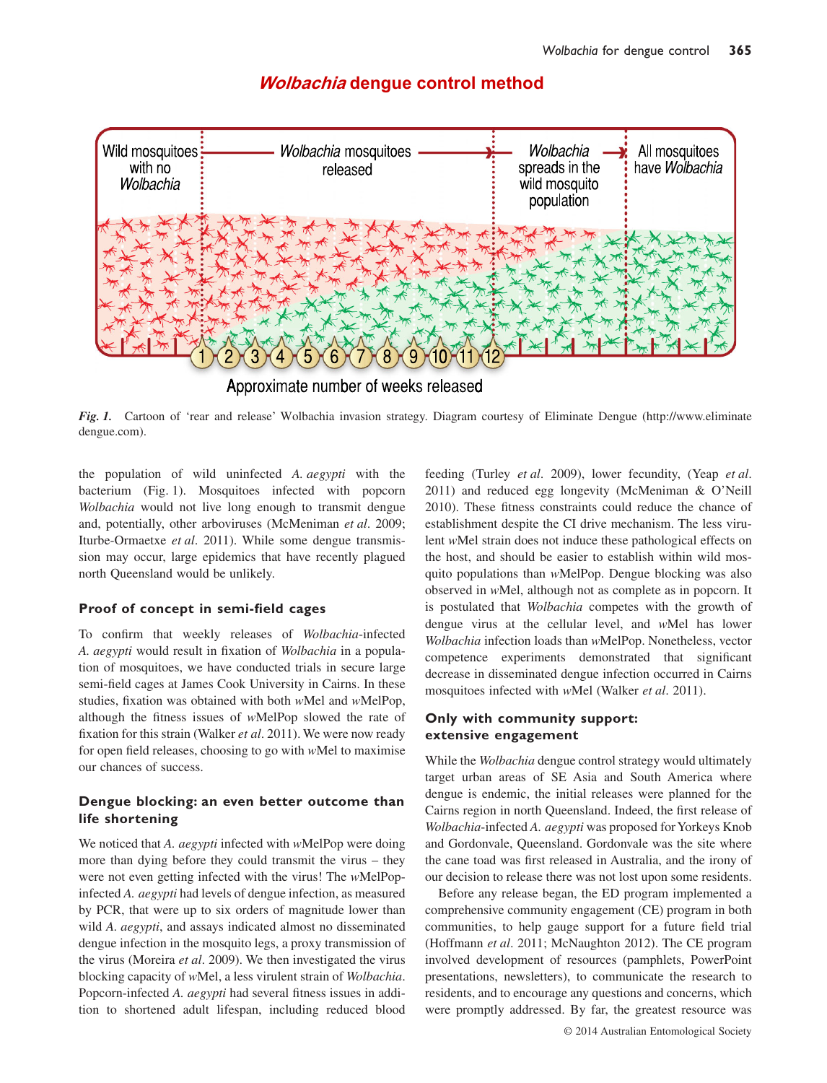

# **Wolbachia dengue control method**

Approximate number of weeks released

*Fig. 1.* Cartoon of 'rear and release' Wolbachia invasion strategy. Diagram courtesy of Eliminate Dengue [\(http://www.eliminate](http://www.eliminatedengue.com) [dengue.com\)](http://www.eliminatedengue.com).

the population of wild uninfected *A. aegypti* with the bacterium (Fig. 1). Mosquitoes infected with popcorn *Wolbachia* would not live long enough to transmit dengue and, potentially, other arboviruses (McMeniman *et al*. 2009; Iturbe-Ormaetxe *et al*. 2011). While some dengue transmission may occur, large epidemics that have recently plagued north Queensland would be unlikely.

# **Proof of concept in semi-field cages**

To confirm that weekly releases of *Wolbachia*-infected *A. aegypti* would result in fixation of *Wolbachia* in a population of mosquitoes, we have conducted trials in secure large semi-field cages at James Cook University in Cairns. In these studies, fixation was obtained with both *w*Mel and *w*MelPop, although the fitness issues of *w*MelPop slowed the rate of fixation for this strain (Walker *et al*. 2011). We were now ready for open field releases, choosing to go with *w*Mel to maximise our chances of success.

# **Dengue blocking: an even better outcome than life shortening**

We noticed that *A. aegypti* infected with *w*MelPop were doing more than dying before they could transmit the virus – they were not even getting infected with the virus! The *w*MelPopinfected *A. aegypti* had levels of dengue infection, as measured by PCR, that were up to six orders of magnitude lower than wild *A. aegypti*, and assays indicated almost no disseminated dengue infection in the mosquito legs, a proxy transmission of the virus (Moreira *et al*. 2009). We then investigated the virus blocking capacity of *w*Mel, a less virulent strain of *Wolbachia*. Popcorn-infected *A. aegypti* had several fitness issues in addition to shortened adult lifespan, including reduced blood

feeding (Turley *et al*. 2009), lower fecundity, (Yeap *et al*. 2011) and reduced egg longevity (McMeniman & O'Neill 2010). These fitness constraints could reduce the chance of establishment despite the CI drive mechanism. The less virulent *w*Mel strain does not induce these pathological effects on the host, and should be easier to establish within wild mosquito populations than *w*MelPop. Dengue blocking was also observed in *w*Mel, although not as complete as in popcorn. It is postulated that *Wolbachia* competes with the growth of dengue virus at the cellular level, and *w*Mel has lower *Wolbachia* infection loads than *w*MelPop. Nonetheless, vector competence experiments demonstrated that significant decrease in disseminated dengue infection occurred in Cairns mosquitoes infected with *w*Mel (Walker *et al*. 2011).

### **Only with community support: extensive engagement**

While the *Wolbachia* dengue control strategy would ultimately target urban areas of SE Asia and South America where dengue is endemic, the initial releases were planned for the Cairns region in north Queensland. Indeed, the first release of *Wolbachia*-infected *A. aegypti* was proposed for Yorkeys Knob and Gordonvale, Queensland. Gordonvale was the site where the cane toad was first released in Australia, and the irony of our decision to release there was not lost upon some residents.

Before any release began, the ED program implemented a comprehensive community engagement (CE) program in both communities, to help gauge support for a future field trial (Hoffmann *et al*. 2011; McNaughton 2012). The CE program involved development of resources (pamphlets, PowerPoint presentations, newsletters), to communicate the research to residents, and to encourage any questions and concerns, which were promptly addressed. By far, the greatest resource was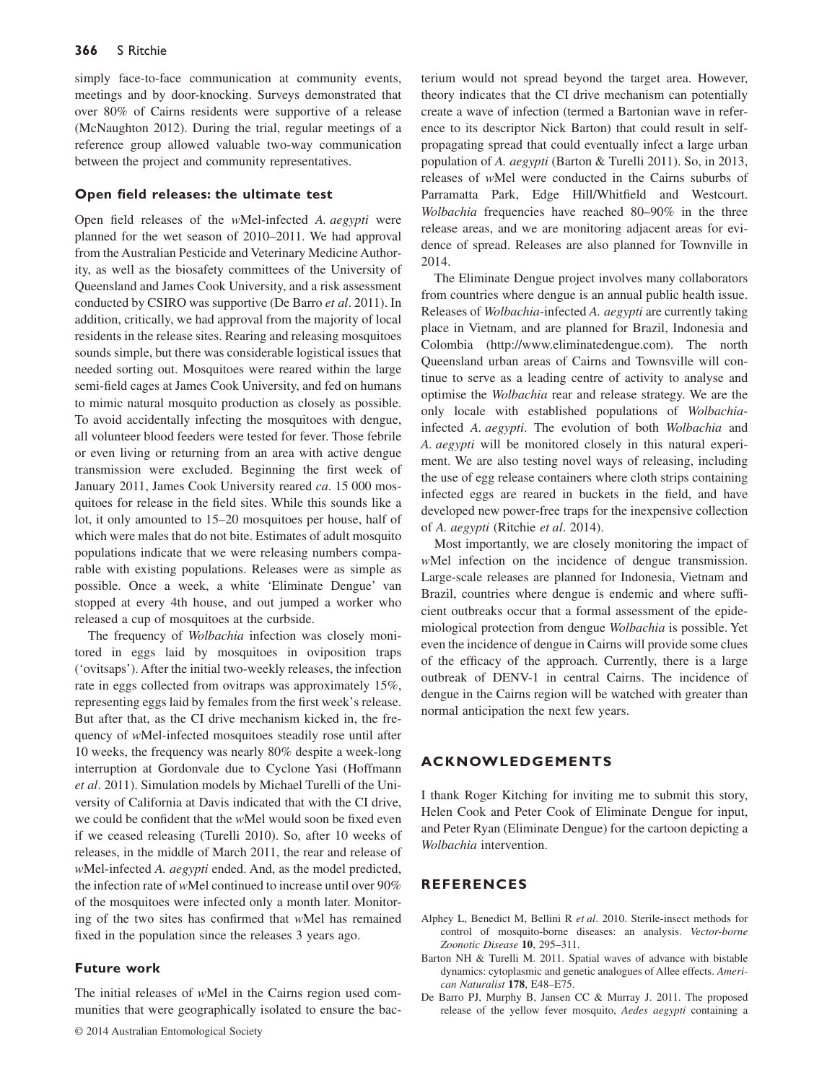simply face-to-face communication at community events, meetings and by door-knocking. Surveys demonstrated that over 80% of Cairns residents were supportive of a release (McNaughton 2012). During the trial, regular meetings of a reference group allowed valuable two-way communication between the project and community representatives.

### **Open field releases: the ultimate test**

Open field releases of the *w*Mel-infected *A. aegypti* were planned for the wet season of 2010–2011. We had approval from the Australian Pesticide and Veterinary Medicine Authority, as well as the biosafety committees of the University of Queensland and James Cook University, and a risk assessment conducted by CSIRO was supportive (De Barro *et al*. 2011). In addition, critically, we had approval from the majority of local residents in the release sites. Rearing and releasing mosquitoes sounds simple, but there was considerable logistical issues that needed sorting out. Mosquitoes were reared within the large semi-field cages at James Cook University, and fed on humans to mimic natural mosquito production as closely as possible. To avoid accidentally infecting the mosquitoes with dengue, all volunteer blood feeders were tested for fever. Those febrile or even living or returning from an area with active dengue transmission were excluded. Beginning the first week of January 2011, James Cook University reared *ca*. 15 000 mosquitoes for release in the field sites. While this sounds like a lot, it only amounted to 15–20 mosquitoes per house, half of which were males that do not bite. Estimates of adult mosquito populations indicate that we were releasing numbers comparable with existing populations. Releases were as simple as possible. Once a week, a white 'Eliminate Dengue' van stopped at every 4th house, and out jumped a worker who released a cup of mosquitoes at the curbside.

The frequency of *Wolbachia* infection was closely monitored in eggs laid by mosquitoes in oviposition traps ('ovitsaps'). After the initial two-weekly releases, the infection rate in eggs collected from ovitraps was approximately 15%, representing eggs laid by females from the first week's release. But after that, as the CI drive mechanism kicked in, the frequency of *w*Mel-infected mosquitoes steadily rose until after 10 weeks, the frequency was nearly 80% despite a week-long interruption at Gordonvale due to Cyclone Yasi (Hoffmann *et al*. 2011). Simulation models by Michael Turelli of the University of California at Davis indicated that with the CI drive, we could be confident that the *w*Mel would soon be fixed even if we ceased releasing (Turelli 2010). So, after 10 weeks of releases, in the middle of March 2011, the rear and release of *w*Mel-infected *A. aegypti* ended. And, as the model predicted, the infection rate of *w*Mel continued to increase until over 90% of the mosquitoes were infected only a month later. Monitoring of the two sites has confirmed that *w*Mel has remained fixed in the population since the releases 3 years ago.

### **Future work**

The initial releases of *w*Mel in the Cairns region used communities that were geographically isolated to ensure the bac-

terium would not spread beyond the target area. However, theory indicates that the CI drive mechanism can potentially create a wave of infection (termed a Bartonian wave in reference to its descriptor Nick Barton) that could result in selfpropagating spread that could eventually infect a large urban population of *A. aegypti* (Barton & Turelli 2011). So, in 2013, releases of *w*Mel were conducted in the Cairns suburbs of Parramatta Park, Edge Hill/Whitfield and Westcourt. *Wolbachia* frequencies have reached 80–90% in the three release areas, and we are monitoring adjacent areas for evidence of spread. Releases are also planned for Townville in 2014.

The Eliminate Dengue project involves many collaborators from countries where dengue is an annual public health issue. Releases of *Wolbachia*-infected *A. aegypti* are currently taking place in Vietnam, and are planned for Brazil, Indonesia and Colombia [\(http://www.eliminatedengue.com\)](http://www.eliminatedengue.com). The north Queensland urban areas of Cairns and Townsville will continue to serve as a leading centre of activity to analyse and optimise the *Wolbachia* rear and release strategy. We are the only locale with established populations of *Wolbachia*infected *A. aegypti*. The evolution of both *Wolbachia* and *A. aegypti* will be monitored closely in this natural experiment. We are also testing novel ways of releasing, including the use of egg release containers where cloth strips containing infected eggs are reared in buckets in the field, and have developed new power-free traps for the inexpensive collection of *A. aegypti* (Ritchie *et al*. 2014).

Most importantly, we are closely monitoring the impact of *w*Mel infection on the incidence of dengue transmission. Large-scale releases are planned for Indonesia, Vietnam and Brazil, countries where dengue is endemic and where sufficient outbreaks occur that a formal assessment of the epidemiological protection from dengue *Wolbachia* is possible. Yet even the incidence of dengue in Cairns will provide some clues of the efficacy of the approach. Currently, there is a large outbreak of DENV-1 in central Cairns. The incidence of dengue in the Cairns region will be watched with greater than normal anticipation the next few years.

### **ACKNOWLEDGEMENTS**

I thank Roger Kitching for inviting me to submit this story, Helen Cook and Peter Cook of Eliminate Dengue for input, and Peter Ryan (Eliminate Dengue) for the cartoon depicting a *Wolbachia* intervention.

### **REFERENCES**

- Alphey L, Benedict M, Bellini R *et al*. 2010. Sterile-insect methods for control of mosquito-borne diseases: an analysis. *Vector-borne Zoonotic Disease* **10**, 295–311.
- Barton NH & Turelli M. 2011. Spatial waves of advance with bistable dynamics: cytoplasmic and genetic analogues of Allee effects. *American Naturalist* **178**, E48–E75.
- De Barro PJ, Murphy B, Jansen CC & Murray J. 2011. The proposed release of the yellow fever mosquito, *Aedes aegypti* containing a